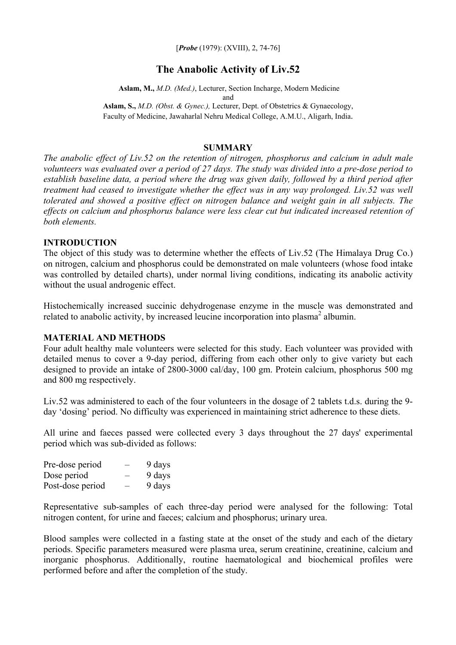[*Probe* (1979): (XVIII), 2, 74-76]

# **The Anabolic Activity of Liv.52**

 **Aslam, M.,** *M.D. (Med.)*, Lecturer, Section Incharge, Modern Medicine and **Aslam, S.,** *M.D. (Obst. & Gynec.),* Lecturer, Dept. of Obstetrics & Gynaecology,

Faculty of Medicine, Jawaharlal Nehru Medical College, A.M.U., Aligarh, India.

#### **SUMMARY**

*The anabolic effect of Liv.52 on the retention of nitrogen, phosphorus and calcium in adult male volunteers was evaluated over a period of 27 days. The study was divided into a pre-dose period to establish baseline data, a period where the drug was given daily, followed by a third period after treatment had ceased to investigate whether the effect was in any way prolonged. Liv.52 was well tolerated and showed a positive effect on nitrogen balance and weight gain in all subjects. The effects on calcium and phosphorus balance were less clear cut but indicated increased retention of both elements.* 

## **INTRODUCTION**

The object of this study was to determine whether the effects of Liv.52 (The Himalaya Drug Co.) on nitrogen, calcium and phosphorus could be demonstrated on male volunteers (whose food intake was controlled by detailed charts), under normal living conditions, indicating its anabolic activity without the usual androgenic effect.

Histochemically increased succinic dehydrogenase enzyme in the muscle was demonstrated and related to anabolic activity, by increased leucine incorporation into plasma<sup>2</sup> albumin.

### **MATERIAL AND METHODS**

Four adult healthy male volunteers were selected for this study. Each volunteer was provided with detailed menus to cover a 9-day period, differing from each other only to give variety but each designed to provide an intake of 2800-3000 cal/day, 100 gm. Protein calcium, phosphorus 500 mg and 800 mg respectively.

Liv.52 was administered to each of the four volunteers in the dosage of 2 tablets t.d.s. during the 9 day 'dosing' period. No difficulty was experienced in maintaining strict adherence to these diets.

All urine and faeces passed were collected every 3 days throughout the 27 days' experimental period which was sub-divided as follows:

| Pre-dose period  | — | 9 days |
|------------------|---|--------|
| Dose period      | - | 9 days |
| Post-dose period |   | 9 days |

Representative sub-samples of each three-day period were analysed for the following: Total nitrogen content, for urine and faeces; calcium and phosphorus; urinary urea.

Blood samples were collected in a fasting state at the onset of the study and each of the dietary periods. Specific parameters measured were plasma urea, serum creatinine, creatinine, calcium and inorganic phosphorus. Additionally, routine haematological and biochemical profiles were performed before and after the completion of the study.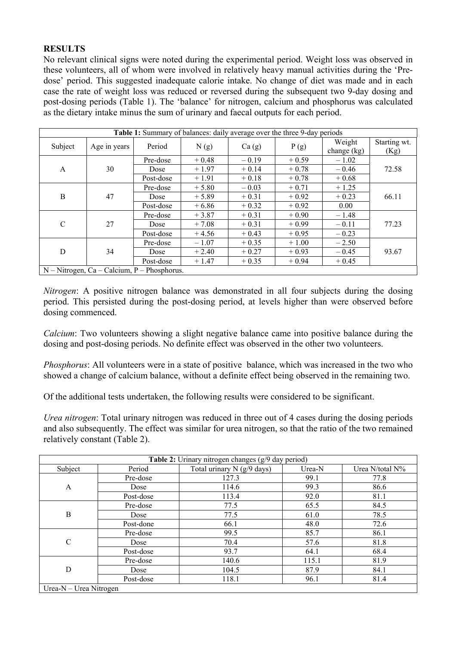## **RESULTS**

No relevant clinical signs were noted during the experimental period. Weight loss was observed in these volunteers, all of whom were involved in relatively heavy manual activities during the 'Predose' period. This suggested inadequate calorie intake. No change of diet was made and in each case the rate of weight loss was reduced or reversed during the subsequent two 9-day dosing and post-dosing periods (Table 1). The 'balance' for nitrogen, calcium and phosphorus was calculated as the dietary intake minus the sum of urinary and faecal outputs for each period.

| <b>Table 1:</b> Summary of balances: daily average over the three 9-day periods |              |                |         |         |               |         |              |
|---------------------------------------------------------------------------------|--------------|----------------|---------|---------|---------------|---------|--------------|
| Subject                                                                         | Age in years | Period<br>N(g) |         |         |               | Weight  | Starting wt. |
|                                                                                 |              |                | Ca(g)   | P(g)    | change $(kg)$ | (Kg)    |              |
| $\mathbf{A}$                                                                    | 30           | Pre-dose       | $+0.48$ | $-0.19$ | $+0.59$       | $-1.02$ | 72.58        |
|                                                                                 |              | Dose           | $+1.97$ | $+0.14$ | $+0.78$       | $-0.46$ |              |
|                                                                                 |              | Post-dose      | $+1.91$ | $+0.18$ | $+0.78$       | $+0.68$ |              |
| $\boldsymbol{B}$                                                                |              | Pre-dose       | $+5.80$ | $-0.03$ | $+0.71$       | $+1.25$ | 66.11        |
|                                                                                 | 47           | Dose           | $+5.89$ | $+0.31$ | $+0.92$       | $+0.23$ |              |
|                                                                                 |              | Post-dose      | $+6.86$ | $+0.32$ | $+0.92$       | 0.00    |              |
| $\mathcal{C}$                                                                   | 27           | Pre-dose       | $+3.87$ | $+0.31$ | $+0.90$       | $-1.48$ | 77.23        |
|                                                                                 |              | Dose           | $+7.08$ | $+0.31$ | $+0.99$       | $-0.11$ |              |
|                                                                                 |              | Post-dose      | $+4.56$ | $+0.43$ | $+0.95$       | $-0.23$ |              |
| D                                                                               | 34           | Pre-dose       | $-1.07$ | $+0.35$ | $+1.00$       | $-2.50$ | 93.67        |
|                                                                                 |              | Dose           | $+2.40$ | $+0.27$ | $+0.93$       | $-0.45$ |              |
|                                                                                 |              | Post-dose      | $+1.47$ | $+0.35$ | $+0.94$       | $+0.45$ |              |
| $N - Nitrogen$ , Ca - Calcium, P - Phosphorus.                                  |              |                |         |         |               |         |              |

*Nitrogen*: A positive nitrogen balance was demonstrated in all four subjects during the dosing period. This persisted during the post-dosing period, at levels higher than were observed before dosing commenced.

*Calcium*: Two volunteers showing a slight negative balance came into positive balance during the dosing and post-dosing periods. No definite effect was observed in the other two volunteers.

*Phosphorus*: All volunteers were in a state of positive balance, which was increased in the two who showed a change of calcium balance, without a definite effect being observed in the remaining two.

Of the additional tests undertaken, the following results were considered to be significant.

*Urea nitrogen*: Total urinary nitrogen was reduced in three out of 4 cases during the dosing periods and also subsequently. The effect was similar for urea nitrogen, so that the ratio of the two remained relatively constant (Table 2).

| Table 2: Urinary nitrogen changes (g/9 day period) |           |                              |        |                    |  |  |  |
|----------------------------------------------------|-----------|------------------------------|--------|--------------------|--|--|--|
| Subject                                            | Period    | Total urinary $N$ (g/9 days) | Urea-N | Urea N/total $N\%$ |  |  |  |
| A                                                  | Pre-dose  | 127.3                        | 99.1   | 77.8               |  |  |  |
|                                                    | Dose      | 114.6                        | 99.3   | 86.6               |  |  |  |
|                                                    | Post-dose | 113.4                        | 92.0   | 81.1               |  |  |  |
| B                                                  | Pre-dose  | 77.5                         | 65.5   | 84.5               |  |  |  |
|                                                    | Dose      | 77.5                         | 61.0   | 78.5               |  |  |  |
|                                                    | Post-done | 66.1                         | 48.0   | 72.6               |  |  |  |
| $\mathsf{C}$                                       | Pre-dose  | 99.5                         | 85.7   | 86.1               |  |  |  |
|                                                    | Dose      | 70.4                         | 57.6   | 81.8               |  |  |  |
|                                                    | Post-dose | 93.7                         | 64.1   | 68.4               |  |  |  |
| D                                                  | Pre-dose  | 140.6                        | 115.1  | 81.9               |  |  |  |
|                                                    | Dose      | 104.5                        | 87.9   | 84.1               |  |  |  |
|                                                    | Post-dose | 118.1                        | 96.1   | 81.4               |  |  |  |
| Urea- $N - U$ rea Nitrogen                         |           |                              |        |                    |  |  |  |